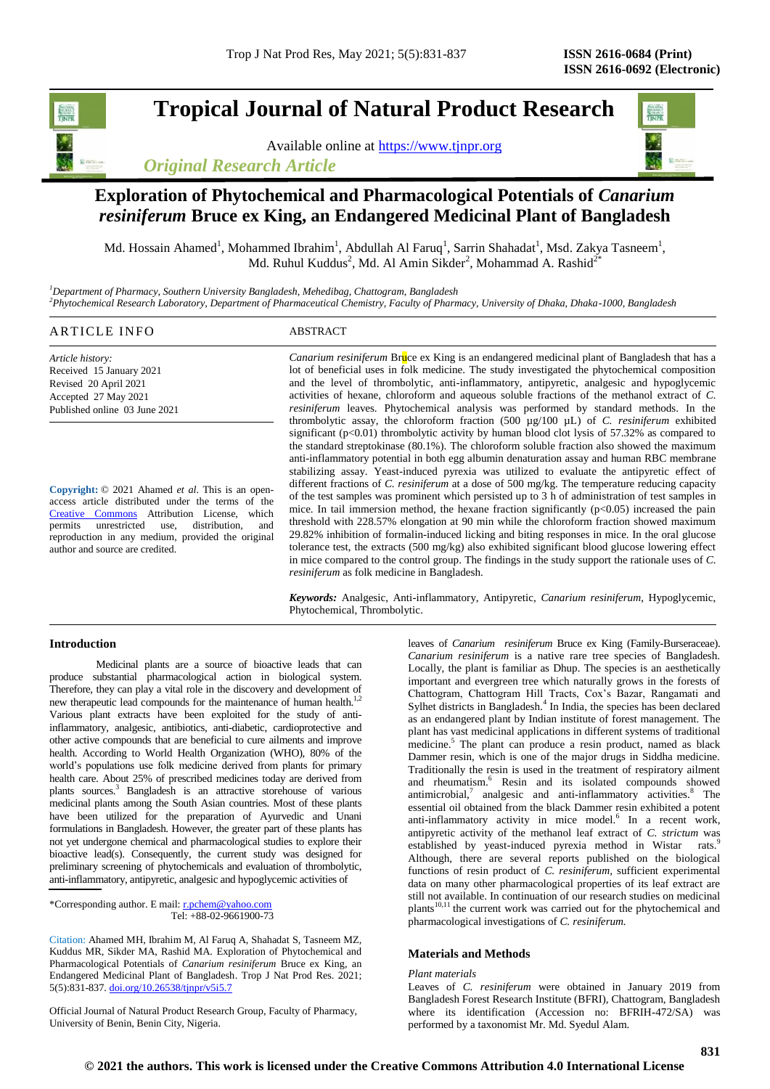# **Tropical Journal of Natural Product Research**

Available online at [https://www.tjnpr.org](https://www.tjnpr.org/) *Original Research Article*



## **Exploration of Phytochemical and Pharmacological Potentials of** *Canarium resiniferum* **Bruce ex King, an Endangered Medicinal Plant of Bangladesh**

Md. Hossain Ahamed<sup>1</sup>, Mohammed Ibrahim<sup>1</sup>, Abdullah Al Faruq<sup>1</sup>, Sarrin Shahadat<sup>1</sup>, Msd. Zakya Tasneem<sup>1</sup>, Md. Ruhul Kuddus<sup>2</sup>, Md. Al Amin Sikder<sup>2</sup>, Mohammad A. Rashid<sup>2\*</sup>

*<sup>1</sup>Department of Pharmacy, Southern University Bangladesh, Mehedibag, Chattogram, Bangladesh <sup>2</sup>Phytochemical Research Laboratory, Department of Pharmaceutical Chemistry, Faculty of Pharmacy, University of Dhaka, Dhaka-1000, Bangladesh*

## ARTICLE INFO ABSTRACT

*Article history:* Received 15 January 2021 Revised 20 April 2021 Accepted 27 May 2021 Published online 03 June 2021

**Copyright:** © 2021 Ahamed *et al*. This is an openaccess article distributed under the terms of the [Creative Commons](https://creativecommons.org/licenses/by/4.0/) Attribution License, which permits unrestricted use, distribution, and reproduction in any medium, provided the original author and source are credited.

*Canarium resiniferum* Bruce ex King is an endangered medicinal plant of Bangladesh that has a lot of beneficial uses in folk medicine. The study investigated the phytochemical composition and the level of thrombolytic, anti-inflammatory, antipyretic, analgesic and hypoglycemic activities of hexane, chloroform and aqueous soluble fractions of the methanol extract of *C. resiniferum* leaves. Phytochemical analysis was performed by standard methods. In the thrombolytic assay, the chloroform fraction (500 µg/100 µL) of *C. resiniferum* exhibited significant (p<0.01) thrombolytic activity by human blood clot lysis of 57.32% as compared to the standard streptokinase (80.1%). The chloroform soluble fraction also showed the maximum anti-inflammatory potential in both egg albumin denaturation assay and human RBC membrane stabilizing assay. Yeast-induced pyrexia was utilized to evaluate the antipyretic effect of different fractions of *C. resiniferum* at a dose of 500 mg/kg. The temperature reducing capacity of the test samples was prominent which persisted up to 3 h of administration of test samples in mice. In tail immersion method, the hexane fraction significantly  $(p<0.05)$  increased the pain threshold with 228.57% elongation at 90 min while the chloroform fraction showed maximum 29.82% inhibition of formalin-induced licking and biting responses in mice. In the oral glucose tolerance test, the extracts (500 mg/kg) also exhibited significant blood glucose lowering effect in mice compared to the control group. The findings in the study support the rationale uses of *C. resiniferum* as folk medicine in Bangladesh.

*Keywords:* Analgesic, Anti-inflammatory, Antipyretic, *Canarium resiniferum*, Hypoglycemic, Phytochemical, Thrombolytic.

## **Introduction**

Medicinal plants are a source of bioactive leads that can produce substantial pharmacological action in biological system. Therefore, they can play a vital role in the discovery and development of new therapeutic lead compounds for the maintenance of human health.<sup>1,2</sup> Various plant extracts have been exploited for the study of antiinflammatory, analgesic, antibiotics, anti-diabetic, cardioprotective and other active compounds that are beneficial to cure ailments and improve health. According to World Health Organization (WHO), 80% of the world's populations use folk medicine derived from plants for primary health care. About 25% of prescribed medicines today are derived from plants sources.<sup>3</sup> Bangladesh is an attractive storehouse of various medicinal plants among the South Asian countries. Most of these plants have been utilized for the preparation of Ayurvedic and Unani formulations in Bangladesh. However, the greater part of these plants has not yet undergone chemical and pharmacological studies to explore their bioactive lead(s). Consequently, the current study was designed for preliminary screening of phytochemicals and evaluation of thrombolytic, anti-inflammatory, antipyretic, analgesic and hypoglycemic activities of

\*Corresponding author. E mail: r.pchem@yahoo.com  $Tel: +88-02-9661900-73$ 

Citation: Ahamed MH, Ibrahim M, Al Faruq A, Shahadat S, Tasneem MZ, Kuddus MR, Sikder MA, Rashid MA. Exploration of Phytochemical and Pharmacological Potentials of *Canarium resiniferum* Bruce ex King, an Endangered Medicinal Plant of Bangladesh. Trop J Nat Prod Res. 2021; 5(5):831-837[. doi.org/10.26538/tjnpr/v5i5.7](http://www.doi.org/10.26538/tjnpr/v1i4.5)

Official Journal of Natural Product Research Group, Faculty of Pharmacy, University of Benin, Benin City, Nigeria.

leaves of *Canarium resiniferum* Bruce ex King (Family-Burseraceae). *Canarium resiniferum* is a native rare tree species of Bangladesh. Locally, the plant is familiar as Dhup. The species is an aesthetically important and evergreen tree which naturally grows in the forests of Chattogram, Chattogram Hill Tracts, Cox's Bazar, Rangamati and Sylhet districts in Bangladesh.<sup>4</sup> In India, the species has been declared as an endangered plant by Indian institute of forest management. The plant has vast medicinal applications in different systems of traditional medicine.<sup>5</sup> The plant can produce a resin product, named as black Dammer resin, which is one of the major drugs in Siddha medicine. Traditionally the resin is used in the treatment of respiratory ailment and rheumatism.<sup>6</sup> Resin and its isolated compounds showed antimicrobial,<sup>7</sup> analgesic and anti-inflammatory activities.<sup>8</sup> The essential oil obtained from the black Dammer resin exhibited a potent anti-inflammatory activity in mice model.<sup>6</sup> In a recent work, antipyretic activity of the methanol leaf extract of *C. strictum* was established by yeast-induced pyrexia method in Wistar rats.<sup>9</sup> Although, there are several reports published on the biological functions of resin product of *C. resiniferum,* sufficient experimental data on many other pharmacological properties of its leaf extract are still not available. In continuation of our research studies on medicinal plants $10,11$  the current work was carried out for the phytochemical and pharmacological investigations of *C. resiniferum.*

## **Materials and Methods**

#### *Plant materials*

Leaves of *C. resiniferum* were obtained in January 2019 from Bangladesh Forest Research Institute (BFRI), Chattogram, Bangladesh where its identification (Accession no: BFRIH-472/SA) was performed by a taxonomist Mr. Md. Syedul Alam.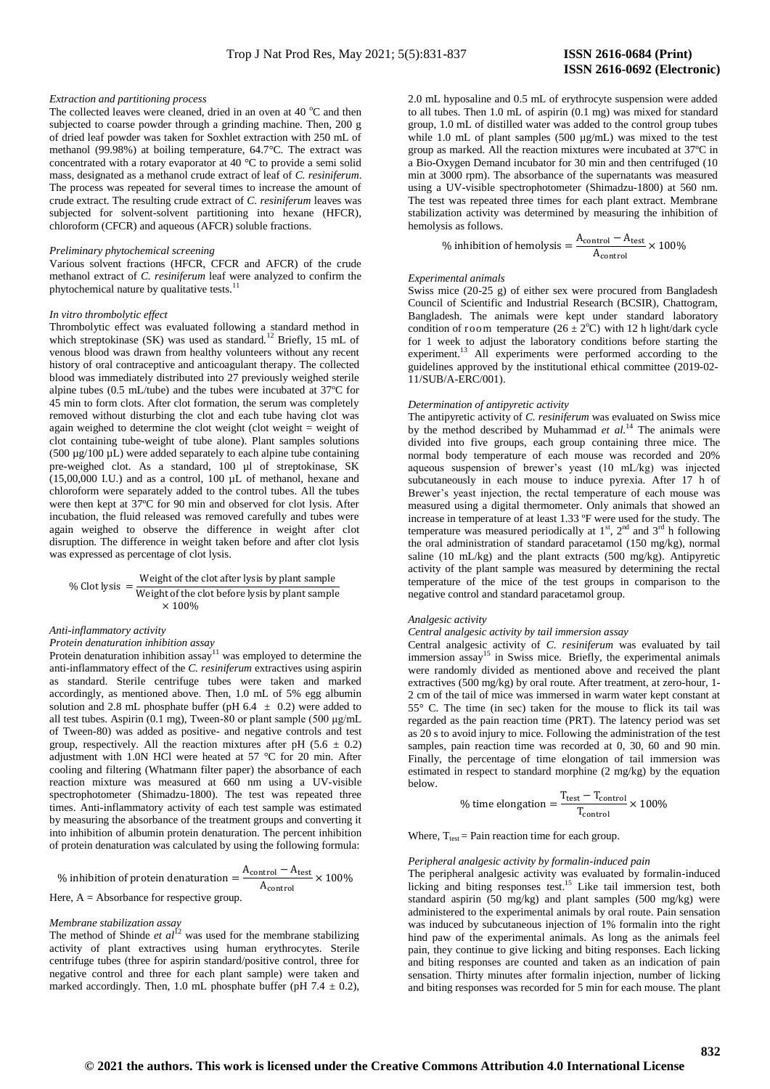## *Extraction and partitioning process*

The collected leaves were cleaned, dried in an oven at 40  $^{\circ}$ C and then subjected to coarse powder through a grinding machine. Then, 200 g of dried leaf powder was taken for Soxhlet extraction with 250 mL of methanol (99.98%) at boiling temperature, 64.7°C. The extract was concentrated with a rotary evaporator at 40 °C to provide a semi solid mass, designated as a methanol crude extract of leaf of *C. resiniferum*. The process was repeated for several times to increase the amount of crude extract. The resulting crude extract of *C. resiniferum* leaves was subjected for solvent-solvent partitioning into hexane (HFCR), chloroform (CFCR) and aqueous (AFCR) soluble fractions.

#### *Preliminary phytochemical screening*

Various solvent fractions (HFCR, CFCR and AFCR) of the crude methanol extract of *C. resiniferum* leaf were analyzed to confirm the phytochemical nature by qualitative tests.<sup>11</sup>

#### *In vitro thrombolytic effect*

Thrombolytic effect was evaluated following a standard method in which streptokinase (SK) was used as standard.<sup>12</sup> Briefly, 15 mL of venous blood was drawn from healthy volunteers without any recent history of oral contraceptive and anticoagulant therapy. The collected blood was immediately distributed into 27 previously weighed sterile alpine tubes (0.5 mL/tube) and the tubes were incubated at 37ºC for 45 min to form clots. After clot formation, the serum was completely removed without disturbing the clot and each tube having clot was again weighed to determine the clot weight (clot weight = weight of clot containing tube-weight of tube alone). Plant samples solutions  $(500 \mu g/100 \mu L)$  were added separately to each alpine tube containing pre-weighed clot. As a standard, 100 µl of streptokinase, SK (15,00,000 I.U.) and as a control, 100 µL of methanol, hexane and chloroform were separately added to the control tubes. All the tubes were then kept at 37ºC for 90 min and observed for clot lysis. After incubation, the fluid released was removed carefully and tubes were again weighed to observe the difference in weight after clot disruption. The difference in weight taken before and after clot lysis was expressed as percentage of clot lysis.

% Clot lysis = Weight of the clot after lysis by plant sample  
\n
$$
\frac{\text{Weight of the clot before lysis by plant sample}}{\times 100\%}
$$

## *Anti-inflammatory activity*

*Protein denaturation inhibition assay*

Protein denaturation inhibition  $assay<sup>11</sup>$  was employed to determine the anti-inflammatory effect of the *C. resiniferum* extractives using aspirin as standard. Sterile centrifuge tubes were taken and marked accordingly, as mentioned above. Then, 1.0 mL of 5% egg albumin solution and 2.8 mL phosphate buffer (pH  $6.4 \pm 0.2$ ) were added to all test tubes. Aspirin (0.1 mg), Tween-80 or plant sample (500 μg/mL of Tween-80) was added as positive- and negative controls and test group, respectively. All the reaction mixtures after pH (5.6  $\pm$  0.2) adjustment with 1.0N HCl were heated at 57 °C for 20 min. After cooling and filtering (Whatmann filter paper) the absorbance of each reaction mixture was measured at 660 nm using a UV-visible spectrophotometer (Shimadzu-1800). The test was repeated three times. Anti-inflammatory activity of each test sample was estimated by measuring the absorbance of the treatment groups and converting it into inhibition of albumin protein denaturation. The percent inhibition of protein denaturation was calculated by using the following formula:

% inhibition of protein denaturation = 
$$
\frac{A_{\text{control}} - A_{\text{test}}}{A_{\text{control}}} \times 100\%
$$
  
Here, A = Absorbance for respective group.

#### *Membrane stabilization assay*

The method of Shinde  $et al^{12}$  was used for the membrane stabilizing activity of plant extractives using human erythrocytes. Sterile centrifuge tubes (three for aspirin standard/positive control, three for negative control and three for each plant sample) were taken and marked accordingly. Then, 1.0 mL phosphate buffer (pH  $7.4 \pm 0.2$ ),

2.0 mL hyposaline and 0.5 mL of erythrocyte suspension were added to all tubes. Then 1.0 mL of aspirin (0.1 mg) was mixed for standard group, 1.0 mL of distilled water was added to the control group tubes while 1.0 mL of plant samples (500 µg/mL) was mixed to the test group as marked. All the reaction mixtures were incubated at 37ºC in a Bio-Oxygen Demand incubator for 30 min and then centrifuged (10 min at 3000 rpm). The absorbance of the supernatants was measured using a UV-visible spectrophotometer (Shimadzu-1800) at 560 nm. The test was repeated three times for each plant extract. Membrane stabilization activity was determined by measuring the inhibition of hemolysis as follows.  $\lambda$ 

% inhibition of hemolysis = 
$$
\frac{A_{\text{control}} - A_{\text{test}}}{A_{\text{control}}} \times 100\%
$$

## *Experimental animals*

Swiss mice (20-25 g) of either sex were procured from Bangladesh Council of Scientific and Industrial Research (BCSIR), Chattogram, Bangladesh. The animals were kept under standard laboratory condition of room temperature  $(26 \pm 2^{\circ}C)$  with 12 h light/dark cycle for 1 week to adjust the laboratory conditions before starting the experiment.<sup>13</sup> All experiments were performed according to the guidelines approved by the institutional ethical committee (2019-02- 11/SUB/A-ERC/001).

#### *Determination of antipyretic activity*

The antipyretic activity of *C. resiniferum* was evaluated on Swiss mice by the method described by Muhammad *et al.*<sup>14</sup> The animals were divided into five groups, each group containing three mice. The normal body temperature of each mouse was recorded and 20% aqueous suspension of brewer's yeast (10 mL/kg) was injected subcutaneously in each mouse to induce pyrexia. After 17 h of Brewer's yeast injection, the rectal temperature of each mouse was measured using a digital thermometer. Only animals that showed an increase in temperature of at least 1.33 ºF were used for the study. The temperature was measured periodically at  $1<sup>st</sup>$ ,  $2<sup>nd</sup>$  and  $3<sup>rd</sup>$  h following the oral administration of standard paracetamol (150 mg/kg), normal saline (10 mL/kg) and the plant extracts (500 mg/kg). Antipyretic activity of the plant sample was measured by determining the rectal temperature of the mice of the test groups in comparison to the negative control and standard paracetamol group.

#### *Analgesic activity*

## *Central analgesic activity by tail immersion assay*

Central analgesic activity of *C. resiniferum* was evaluated by tail immersion assay<sup>15</sup> in Swiss mice. Briefly, the experimental animals were randomly divided as mentioned above and received the plant extractives (500 mg/kg) by oral route. After treatment, at zero-hour, 1- 2 cm of the tail of mice was immersed in warm water kept constant at 55° C. The time (in sec) taken for the mouse to flick its tail was regarded as the pain reaction time (PRT). The latency period was set as 20 s to avoid injury to mice. Following the administration of the test samples, pain reaction time was recorded at 0, 30, 60 and 90 min. Finally, the percentage of time elongation of tail immersion was estimated in respect to standard morphine (2 mg/kg) by the equation below.

% time elongation = 
$$
\frac{T_{\text{test}} - T_{\text{control}}}{T_{\text{control}}} \times 100\%
$$

Where,  $T_{test}$  = Pain reaction time for each group.

## *Peripheral analgesic activity by formalin-induced pain*

The peripheral analgesic activity was evaluated by formalin-induced licking and biting responses test.<sup>15</sup> Like tail immersion test, both standard aspirin (50 mg/kg) and plant samples (500 mg/kg) were administered to the experimental animals by oral route. Pain sensation was induced by subcutaneous injection of 1% formalin into the right hind paw of the experimental animals. As long as the animals feel pain, they continue to give licking and biting responses. Each licking and biting responses are counted and taken as an indication of pain sensation. Thirty minutes after formalin injection, number of licking and biting responses was recorded for 5 min for each mouse. The plant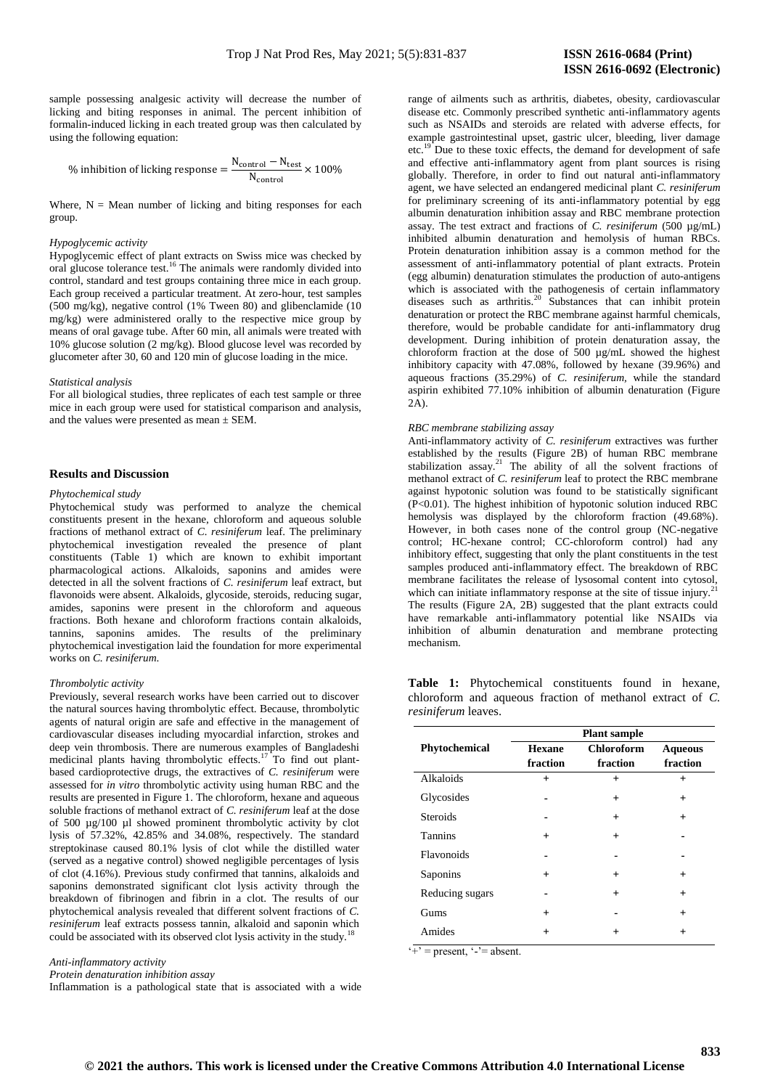sample possessing analgesic activity will decrease the number of licking and biting responses in animal. The percent inhibition of formalin-induced licking in each treated group was then calculated by using the following equation:

% inhibition of licking response  $=\dfrac{\mathsf{N}}{\mathsf{N}}$  $\frac{100}{N_{control}} \times$ 

Where,  $N = \text{Mean number of locking and biting responses for each}$ group.

### *Hypoglycemic activity*

Hypoglycemic effect of plant extracts on Swiss mice was checked by oral glucose tolerance test.<sup>16</sup> The animals were randomly divided into control, standard and test groups containing three mice in each group. Each group received a particular treatment. At zero-hour, test samples (500 mg/kg), negative control (1% Tween 80) and glibenclamide (10 mg/kg) were administered orally to the respective mice group by means of oral gavage tube. After 60 min, all animals were treated with 10% glucose solution (2 mg/kg). Blood glucose level was recorded by glucometer after 30, 60 and 120 min of glucose loading in the mice.

#### *Statistical analysis*

For all biological studies, three replicates of each test sample or three mice in each group were used for statistical comparison and analysis, and the values were presented as mean ± SEM.

#### **Results and Discussion**

### *Phytochemical study*

Phytochemical study was performed to analyze the chemical constituents present in the hexane, chloroform and aqueous soluble fractions of methanol extract of *C. resiniferum* leaf. The preliminary phytochemical investigation revealed the presence of plant constituents (Table 1) which are known to exhibit important pharmacological actions. Alkaloids, saponins and amides were detected in all the solvent fractions of *C. resiniferum* leaf extract, but flavonoids were absent. Alkaloids, glycoside, steroids, reducing sugar, amides, saponins were present in the chloroform and aqueous fractions. Both hexane and chloroform fractions contain alkaloids, tannins, saponins amides. The results of the preliminary phytochemical investigation laid the foundation for more experimental works on *C. resiniferum*.

#### *Thrombolytic activity*

Previously, several research works have been carried out to discover the natural sources having thrombolytic effect. Because, thrombolytic agents of natural origin are safe and effective in the management of cardiovascular diseases including myocardial infarction, strokes and deep vein thrombosis. There are numerous examples of Bangladeshi medicinal plants having thrombolytic effects.<sup>17</sup>To find out plantbased cardioprotective drugs, the extractives of *C. resiniferum* were assessed for *in vitro* thrombolytic activity using human RBC and the results are presented in Figure 1. The chloroform, hexane and aqueous soluble fractions of methanol extract of *C. resiniferum* leaf at the dose of 500 µg/100 µl showed prominent thrombolytic activity by clot lysis of 57.32%, 42.85% and 34.08%, respectively. The standard streptokinase caused 80.1% lysis of clot while the distilled water (served as a negative control) showed negligible percentages of lysis of clot (4.16%). Previous study confirmed that tannins, alkaloids and saponins demonstrated significant clot lysis activity through the breakdown of fibrinogen and fibrin in a clot. The results of our phytochemical analysis revealed that different solvent fractions of *C. resiniferum* leaf extracts possess tannin, alkaloid and saponin which could be associated with its observed clot lysis activity in the study.<sup>1</sup>

*Anti-inflammatory activity* 

*Protein denaturation inhibition assay*

Inflammation is a pathological state that is associated with a wide

range of ailments such as arthritis, diabetes, obesity, cardiovascular disease etc. Commonly prescribed synthetic anti-inflammatory agents such as NSAIDs and steroids are related with adverse effects, for example gastrointestinal upset, gastric ulcer, bleeding, liver damage etc.<sup>19</sup> Due to these toxic effects, the demand for development of safe and effective anti-inflammatory agent from plant sources is rising globally. Therefore, in order to find out natural anti-inflammatory agent, we have selected an endangered medicinal plant *C. resiniferum*  for preliminary screening of its anti-inflammatory potential by egg albumin denaturation inhibition assay and RBC membrane protection assay. The test extract and fractions of *C. resiniferum* (500 µg/mL) inhibited albumin denaturation and hemolysis of human RBCs. Protein denaturation inhibition assay is a common method for the assessment of anti-inflammatory potential of plant extracts. Protein (egg albumin) denaturation stimulates the production of auto-antigens which is associated with the pathogenesis of certain inflammatory diseases such as arthritis.<sup>20</sup> Substances that can inhibit protein denaturation or protect the RBC membrane against harmful chemicals, therefore, would be probable candidate for anti-inflammatory drug development. During inhibition of protein denaturation assay, the chloroform fraction at the dose of 500 µg/mL showed the highest inhibitory capacity with 47.08%, followed by hexane (39.96%) and aqueous fractions (35.29%) of *C. resiniferum,* while the standard aspirin exhibited 77.10% inhibition of albumin denaturation (Figure 2A).

#### *RBC membrane stabilizing assay*

Anti-inflammatory activity of *C. resiniferum* extractives was further established by the results (Figure 2B) of human RBC membrane stabilization assay.<sup>21</sup> The ability of all the solvent fractions of methanol extract of *C. resiniferum* leaf to protect the RBC membrane against hypotonic solution was found to be statistically significant (P<0.01). The highest inhibition of hypotonic solution induced RBC hemolysis was displayed by the chloroform fraction (49.68%). However, in both cases none of the control group (NC-negative control; HC-hexane control; CC-chloroform control) had any inhibitory effect, suggesting that only the plant constituents in the test samples produced anti-inflammatory effect. The breakdown of RBC membrane facilitates the release of lysosomal content into cytosol, which can initiate inflammatory response at the site of tissue injury.<sup>21</sup> The results (Figure 2A, 2B) suggested that the plant extracts could have remarkable anti-inflammatory potential like NSAIDs via inhibition of albumin denaturation and membrane protecting mechanism.

**Table 1:** Phytochemical constituents found in hexane, chloroform and aqueous fraction of methanol extract of *C. resiniferum* leaves.

|                 | <b>Plant</b> sample |                   |                |  |  |  |  |
|-----------------|---------------------|-------------------|----------------|--|--|--|--|
| Phytochemical   | <b>Hexane</b>       | <b>Chloroform</b> | <b>Aqueous</b> |  |  |  |  |
|                 | fraction            | fraction          | fraction       |  |  |  |  |
| Alkaloids       | $+$                 | $\ddot{}$         | $\ddot{}$      |  |  |  |  |
| Glycosides      |                     | $\ddot{}$         | $\ddot{}$      |  |  |  |  |
| <b>Steroids</b> |                     | $\ddot{}$         | $\ddot{}$      |  |  |  |  |
| <b>Tannins</b>  | $\ddot{}$           | $\ddot{}$         |                |  |  |  |  |
| Flavonoids      |                     |                   |                |  |  |  |  |
| Saponins        | $\ddot{}$           | $\ddot{}$         | $\,{}^+$       |  |  |  |  |
| Reducing sugars |                     | $\ddot{}$         | $\ddot{}$      |  |  |  |  |
| Gums            | $\ddot{}$           |                   | $\ddot{}$      |  |  |  |  |
| Amides          | $\ddot{}$           | $^+$              | $^{+}$         |  |  |  |  |

 $\overline{`+'}$  = present,  $\overline{`-'}$  = absent.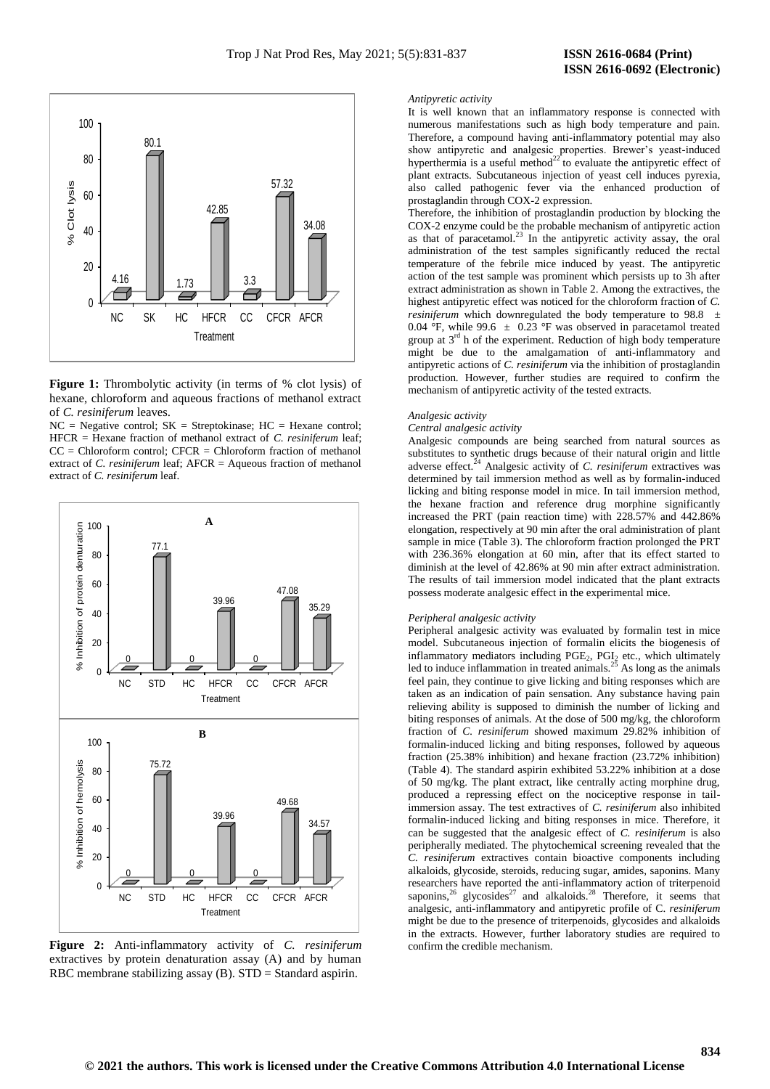

**Figure 1:** Thrombolytic activity (in terms of % clot lysis) of hexane, chloroform and aqueous fractions of methanol extract of *C. resiniferum* leaves.

 $NC = Negative control$ ;  $SK = Streptokinase$ ;  $HC = Hexane control$ ; HFCR = Hexane fraction of methanol extract of *C. resiniferum* leaf;  $CC = Chloroform control$ ;  $CFCR = Chloroform fraction of methanol$ extract of *C. resiniferum* leaf; AFCR = Aqueous fraction of methanol extract of *C. resiniferum* leaf.



**Figure 2:** Anti-inflammatory activity of *C. resiniferum* extractives by protein denaturation assay (A) and by human RBC membrane stabilizing assay (B). STD = Standard aspirin.

#### *Antipyretic activity*

It is well known that an inflammatory response is connected with numerous manifestations such as high body temperature and pain. Therefore, a compound having anti-inflammatory potential may also show antipyretic and analgesic properties. Brewer's yeast-induced hyperthermia is a useful method $^{22}$  to evaluate the antipyretic effect of plant extracts. Subcutaneous injection of yeast cell induces pyrexia, also called pathogenic fever via the enhanced production of prostaglandin through COX-2 expression.

Therefore, the inhibition of prostaglandin production by blocking the COX-2 enzyme could be the probable mechanism of antipyretic action as that of paracetamol.<sup>23</sup> In the antipyretic activity assay, the oral administration of the test samples significantly reduced the rectal temperature of the febrile mice induced by yeast. The antipyretic action of the test sample was prominent which persists up to 3h after extract administration as shown in Table 2. Among the extractives, the highest antipyretic effect was noticed for the chloroform fraction of *C. resiniferum* which downregulated the body temperature to 98.8 ± 0.04 °F, while 99.6  $\pm$  0.23 °F was observed in paracetamol treated group at  $3<sup>rd</sup>$  h of the experiment. Reduction of high body temperature might be due to the amalgamation of anti-inflammatory and antipyretic actions of *C. resiniferum* via the inhibition of prostaglandin production. However, further studies are required to confirm the mechanism of antipyretic activity of the tested extracts.

## *Analgesic activity*

#### *Central analgesic activity*

Analgesic compounds are being searched from natural sources as substitutes to synthetic drugs because of their natural origin and little adverse effect.<sup>24</sup> Analgesic activity of *C. resiniferum* extractives was determined by tail immersion method as well as by formalin-induced licking and biting response model in mice. In tail immersion method, the hexane fraction and reference drug morphine significantly increased the PRT (pain reaction time) with 228.57% and 442.86% elongation, respectively at 90 min after the oral administration of plant sample in mice (Table 3). The chloroform fraction prolonged the PRT with 236.36% elongation at 60 min, after that its effect started to diminish at the level of 42.86% at 90 min after extract administration. The results of tail immersion model indicated that the plant extracts possess moderate analgesic effect in the experimental mice.

#### *Peripheral analgesic activity*

Peripheral analgesic activity was evaluated by formalin test in mice model. Subcutaneous injection of formalin elicits the biogenesis of inflammatory mediators including PGE<sub>2</sub>, PGI<sub>2</sub> etc., which ultimately led to induce inflammation in treated animals. $^{25}$  As long as the animals feel pain, they continue to give licking and biting responses which are taken as an indication of pain sensation. Any substance having pain relieving ability is supposed to diminish the number of licking and biting responses of animals. At the dose of 500 mg/kg, the chloroform fraction of *C. resiniferum* showed maximum 29.82% inhibition of formalin-induced licking and biting responses, followed by aqueous fraction (25.38% inhibition) and hexane fraction (23.72% inhibition) (Table 4). The standard aspirin exhibited 53.22% inhibition at a dose of 50 mg/kg. The plant extract, like centrally acting morphine drug, produced a repressing effect on the nociceptive response in tailimmersion assay. The test extractives of *C. resiniferum* also inhibited formalin-induced licking and biting responses in mice. Therefore, it can be suggested that the analgesic effect of *C. resiniferum* is also peripherally mediated. The phytochemical screening revealed that the *C. resiniferum* extractives contain bioactive components including alkaloids, glycoside, steroids, reducing sugar, amides, saponins. Many researchers have reported the anti-inflammatory action of triterpenoid saponins,<sup>26</sup> glycosides<sup>27</sup> and alkaloids.<sup>28</sup> Therefore, it seems that analgesic, anti-inflammatory and antipyretic profile of C. *resiniferum* might be due to the presence of triterpenoids, glycosides and alkaloids in the extracts. However, further laboratory studies are required to confirm the credible mechanism.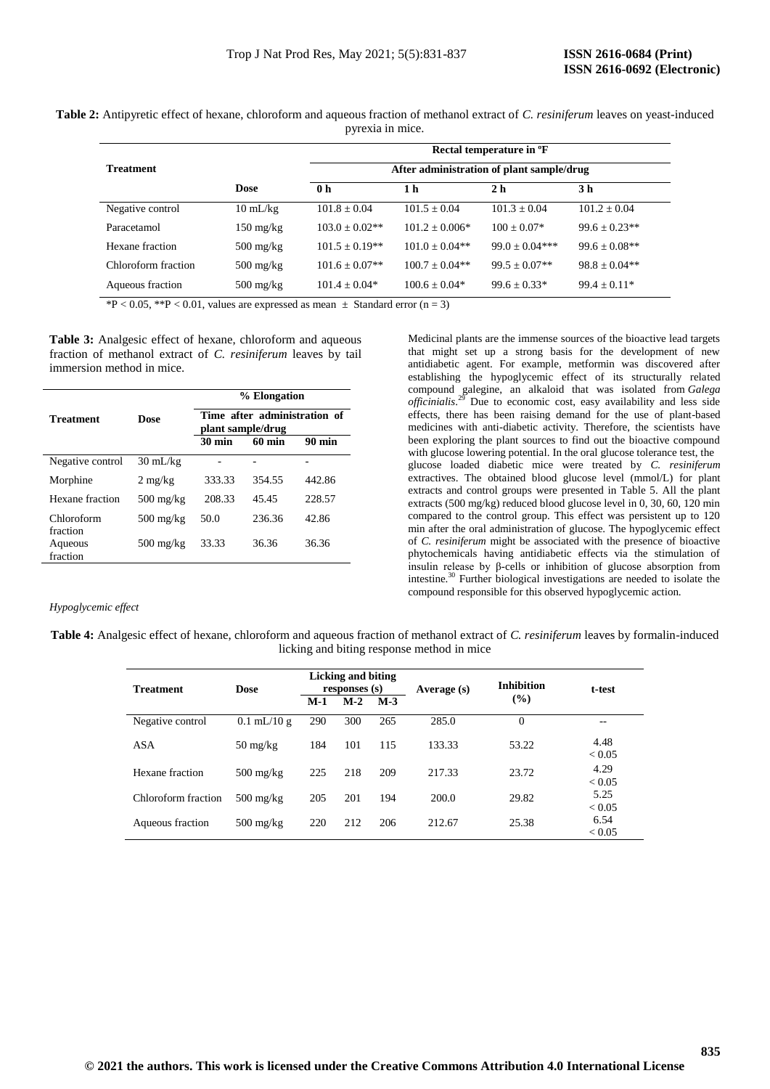**Table 2:** Antipyretic effect of hexane, chloroform and aqueous fraction of methanol extract of *C. resiniferum* leaves on yeast-induced pyrexia in mice.

|                     |                     | Rectal temperature in <sup>o</sup> F      |                  |                   |                    |  |  |
|---------------------|---------------------|-------------------------------------------|------------------|-------------------|--------------------|--|--|
| <b>Treatment</b>    |                     | After administration of plant sample/drug |                  |                   |                    |  |  |
|                     | <b>Dose</b>         | 0 <sub>h</sub>                            | 1 h              | 2 <sub>h</sub>    | 3 h                |  |  |
| Negative control    | $10 \text{ mL/kg}$  | $101.8 + 0.04$                            | $101.5 + 0.04$   | $101.3 + 0.04$    | $101.2 + 0.04$     |  |  |
| Paracetamol         | $150 \text{ mg/kg}$ | $103.0 \pm 0.02**$                        | $101.2 + 0.006*$ | $100 + 0.07*$     | $99.6 \pm 0.23$ ** |  |  |
| Hexane fraction     | $500 \text{ mg/kg}$ | $101.5 \pm 0.19**$                        | $101.0 + 0.04**$ | $99.0 + 0.04$ *** | $99.6 + 0.08**$    |  |  |
| Chloroform fraction | $500 \text{ mg/kg}$ | $101.6 + 0.07**$                          | $100.7 + 0.04**$ | $99.5 + 0.07**$   | $98.8 + 0.04**$    |  |  |
| Aqueous fraction    | $500 \text{ mg/kg}$ | $101.4 + 0.04*$                           | $100.6 + 0.04*$  | $99.6 + 0.33*$    | $99.4 + 0.11*$     |  |  |

\*P < 0.05, \*\*P < 0.01, values are expressed as mean  $\pm$  Standard error (n = 3)

**Table 3:** Analgesic effect of hexane, chloroform and aqueous fraction of methanol extract of *C. resiniferum* leaves by tail immersion method in mice.

|                        |                                   | % Elongation<br>Time after administration of<br>plant sample/drug |                  |                  |  |  |
|------------------------|-----------------------------------|-------------------------------------------------------------------|------------------|------------------|--|--|
| <b>Treatment</b>       | <b>Dose</b>                       |                                                                   |                  |                  |  |  |
|                        |                                   | <b>30 min</b>                                                     | $60 \text{ min}$ | $90 \text{ min}$ |  |  |
| Negative control       | $30 \text{ mL/kg}$                |                                                                   |                  |                  |  |  |
| Morphine               | $2 \text{ mg/kg}$                 | 333.33                                                            | 354.55           | 442.86           |  |  |
| Hexane fraction        | $500 \text{ mg/kg}$               | 208.33                                                            | 45.45            | 228.57           |  |  |
| Chloroform<br>fraction | $500 \frac{\text{mg}}{\text{kg}}$ | 50.0                                                              | 236.36           | 42.86            |  |  |
| Aqueous<br>fraction    | $500 \text{ mg/kg}$               | 33.33                                                             | 36.36            | 36.36            |  |  |

Medicinal plants are the immense sources of the bioactive lead targets that might set up a strong basis for the development of new antidiabetic agent. For example, metformin was discovered after establishing the hypoglycemic effect of its structurally related compound galegine, an alkaloid that was isolated from *Galega officinialis*. <sup>29</sup> Due to economic cost, easy availability and less side effects, there has been raising demand for the use of plant-based medicines with anti-diabetic activity. Therefore, the scientists have been exploring the plant sources to find out the bioactive compound with glucose lowering potential. In the oral glucose tolerance test, the glucose loaded diabetic mice were treated by *C. resiniferum* extractives. The obtained blood glucose level (mmol/L) for plant extracts and control groups were presented in Table 5. All the plant extracts (500 mg/kg) reduced blood glucose level in 0, 30, 60, 120 min compared to the control group. This effect was persistent up to 120 min after the oral administration of glucose. The hypoglycemic effect of *C. resiniferum* might be associated with the presence of bioactive phytochemicals having antidiabetic effects via the stimulation of insulin release by β-cells or inhibition of glucose absorption from intestine.<sup>30</sup> Further biological investigations are needed to isolate the compound responsible for this observed hypoglycemic action.

## *Hypoglycemic effect*

## **Table 4:** Analgesic effect of hexane, chloroform and aqueous fraction of methanol extract of *C. resiniferum* leaves by formalin-induced licking and biting response method in mice

| <b>Treatment</b>    | <b>Dose</b>                       |       | Licking and biting<br>responses (s) |       | Average (s) | <b>Inhibition</b> | t-test             |
|---------------------|-----------------------------------|-------|-------------------------------------|-------|-------------|-------------------|--------------------|
|                     |                                   | $M-1$ | $M-2$                               | $M-3$ |             | $\frac{9}{6}$     |                    |
| Negative control    | $0.1$ mL/10 g                     | 290   | 300                                 | 265   | 285.0       | $\Omega$          | --                 |
| <b>ASA</b>          | $50 \frac{\text{mg}}{\text{kg}}$  | 184   | 101                                 | 115   | 133.33      | 53.22             | 4.48<br>< 0.05     |
| Hexane fraction     | $500 \text{ mg/kg}$               | 225   | 218                                 | 209   | 217.33      | 23.72             | 4.29<br>< 0.05     |
| Chloroform fraction | $500 \text{ mg/kg}$               | 205   | 201                                 | 194   | 200.0       | 29.82             | 5.25<br>${}< 0.05$ |
| Aqueous fraction    | $500 \frac{\text{mg}}{\text{kg}}$ | 220   | 212                                 | 206   | 212.67      | 25.38             | 6.54<br>${}< 0.05$ |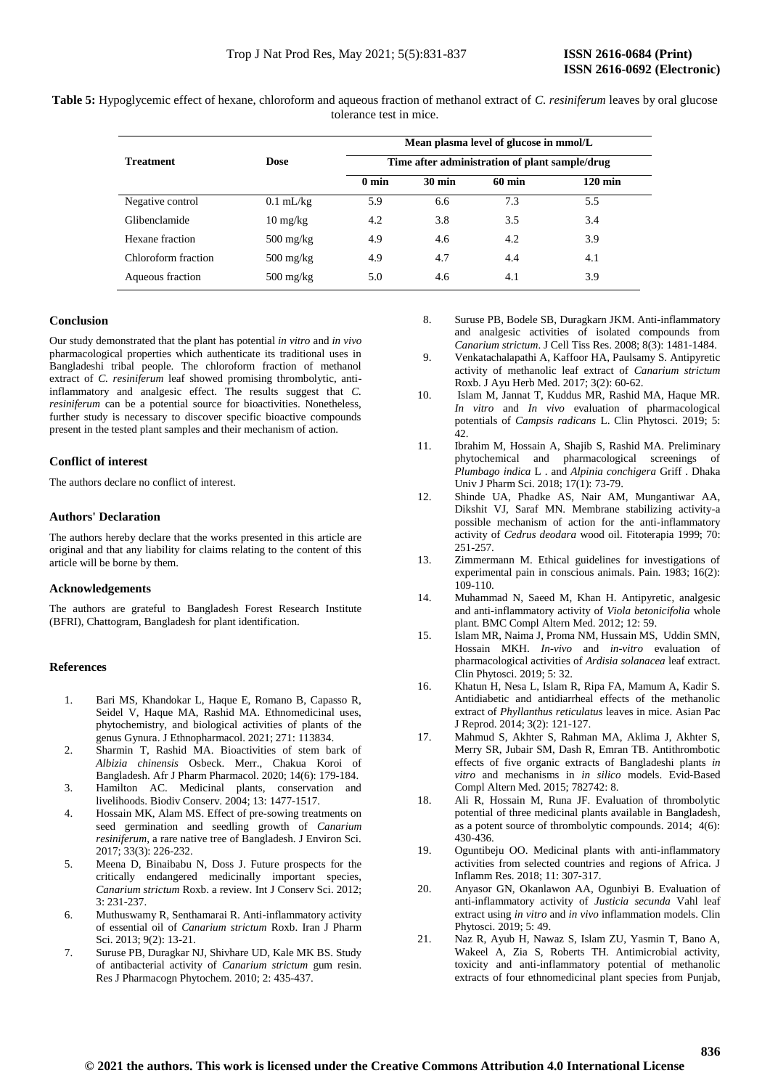| Table 5: Hypoglycemic effect of hexane, chloroform and aqueous fraction of methanol extract of C. resiniferum leaves by oral glucose |
|--------------------------------------------------------------------------------------------------------------------------------------|
| tolerance test in mice.                                                                                                              |

|                     |                     | Mean plasma level of glucose in mmol/L<br>Time after administration of plant sample/drug |                  |                  |                   |  |  |
|---------------------|---------------------|------------------------------------------------------------------------------------------|------------------|------------------|-------------------|--|--|
| <b>Treatment</b>    | <b>Dose</b>         |                                                                                          |                  |                  |                   |  |  |
|                     |                     | $0 \text{ min}$                                                                          | $30 \text{ min}$ | $60 \text{ min}$ | $120 \text{ min}$ |  |  |
| Negative control    | $0.1$ mL/kg         | 5.9                                                                                      | 6.6              | 7.3              | 5.5               |  |  |
| Glibenclamide       | $10 \text{ mg/kg}$  | 4.2                                                                                      | 3.8              | 3.5              | 3.4               |  |  |
| Hexane fraction     | $500 \text{ mg/kg}$ | 4.9                                                                                      | 4.6              | 4.2              | 3.9               |  |  |
| Chloroform fraction | $500 \text{ mg/kg}$ | 4.9                                                                                      | 4.7              | 4.4              | 4.1               |  |  |
| Aqueous fraction    | $500 \text{ mg/kg}$ | 5.0                                                                                      | 4.6              | 4.1              | 3.9               |  |  |

### **Conclusion**

Our study demonstrated that the plant has potential *in vitro* and *in vivo* pharmacological properties which authenticate its traditional uses in Bangladeshi tribal people. The chloroform fraction of methanol extract of *C. resiniferum* leaf showed promising thrombolytic, antiinflammatory and analgesic effect. The results suggest that *C. resiniferum* can be a potential source for bioactivities. Nonetheless, further study is necessary to discover specific bioactive compounds present in the tested plant samples and their mechanism of action.

## **Conflict of interest**

The authors declare no conflict of interest.

## **Authors' Declaration**

The authors hereby declare that the works presented in this article are original and that any liability for claims relating to the content of this article will be borne by them.

## **Acknowledgements**

The authors are grateful to Bangladesh Forest Research Institute (BFRI), Chattogram, Bangladesh for plant identification.

#### **References**

- 1. Bari MS, Khandokar L, Haque E, Romano B, Capasso R, Seidel V, Haque MA, Rashid MA. Ethnomedicinal uses, phytochemistry, and biological activities of plants of the genus Gynura. J Ethnopharmacol. 2021; 271: 113834.
- 2. Sharmin T, Rashid MA. Bioactivities of stem bark of *Albizia chinensis* Osbeck. Merr., Chakua Koroi of Bangladesh. Afr J Pharm Pharmacol. 2020; 14(6): 179-184.
- 3. Hamilton AC. Medicinal plants, conservation and livelihoods. Biodiv Conserv. 2004; 13: 1477-1517.
- 4. Hossain MK, Alam MS. Effect of pre-sowing treatments on seed germination and seedling growth of *Canarium resiniferum*, a rare native tree of Bangladesh. J Environ Sci. 2017; 33(3): 226-232.
- 5. Meena D, Binaibabu N, Doss J. Future prospects for the critically endangered medicinally important species, *Canarium strictum* Roxb. a review. Int J Conserv Sci. 2012; 3: 231-237.
- 6. Muthuswamy R, Senthamarai R. Anti-inflammatory activity of essential oil of *Canarium strictum* Roxb. Iran J Pharm Sci. 2013; 9(2): 13-21.
- 7. Suruse PB, Duragkar NJ, Shivhare UD, Kale MK BS. Study of antibacterial activity of *Canarium strictum* gum resin. Res J Pharmacogn Phytochem. 2010; 2: 435-437.
- 8. Suruse PB, Bodele SB, Duragkarn JKM. Anti-inflammatory and analgesic activities of isolated compounds from *Canarium strictum*. J Cell Tiss Res. 2008; 8(3): 1481-1484.
- 9. Venkatachalapathi A, Kaffoor HA, Paulsamy S. Antipyretic activity of methanolic leaf extract of *Canarium strictum* Roxb. J Ayu Herb Med. 2017; 3(2): 60-62.
- 10. Islam M, Jannat T, Kuddus MR, Rashid MA, Haque MR. *In vitro* and *In vivo* evaluation of pharmacological potentials of *Campsis radicans* L. Clin Phytosci. 2019; 5: 42.
- 11. Ibrahim M, Hossain A, Shajib S, Rashid MA. Preliminary phytochemical and pharmacological screenings of *Plumbago indica* L . and *Alpinia conchigera* Griff . Dhaka Univ J Pharm Sci. 2018; 17(1): 73-79.
- 12. Shinde UA, Phadke AS, Nair AM, Mungantiwar AA, Dikshit VJ, Saraf MN. Membrane stabilizing activity-a possible mechanism of action for the anti-inflammatory activity of *Cedrus deodara* wood oil. Fitoterapia 1999; 70: 251-257.
- 13. Zimmermann M. Ethical guidelines for investigations of experimental pain in conscious animals. Pain. 1983; 16(2): 109-110.
- 14. Muhammad N, Saeed M, Khan H. Antipyretic, analgesic and anti-inflammatory activity of *Viola betonicifolia* whole plant. BMC Compl Altern Med. 2012; 12: 59.
- 15. Islam MR, Naima J, Proma NM, Hussain MS, Uddin SMN, Hossain MKH. *In-vivo* and *in-vitro* evaluation of pharmacological activities of *Ardisia solanacea* leaf extract. Clin Phytosci. 2019; 5: 32.
- 16. Khatun H, Nesa L, Islam R, Ripa FA, Mamum A, Kadir S. Antidiabetic and antidiarrheal effects of the methanolic extract of *Phyllanthus reticulatus* leaves in mice. Asian Pac J Reprod. 2014; 3(2): 121-127.
- 17. Mahmud S, Akhter S, Rahman MA, Aklima J, Akhter S, Merry SR, Jubair SM, Dash R, Emran TB. Antithrombotic effects of five organic extracts of Bangladeshi plants *in vitro* and mechanisms in *in silico* models. Evid-Based Compl Altern Med. 2015; 782742: 8.
- 18. Ali R, Hossain M, Runa JF. Evaluation of thrombolytic potential of three medicinal plants available in Bangladesh, as a potent source of thrombolytic compounds. 2014; 4(6): 430-436.
- 19. Oguntibeju OO. Medicinal plants with anti-inflammatory activities from selected countries and regions of Africa. J Inflamm Res. 2018; 11: 307-317.
- 20. Anyasor GN, Okanlawon AA, Ogunbiyi B. Evaluation of anti-inflammatory activity of *Justicia secunda* Vahl leaf extract using *in vitro* and *in vivo* inflammation models. Clin Phytosci. 2019; 5: 49.
- 21. Naz R, Ayub H, Nawaz S, Islam ZU, Yasmin T, Bano A, Wakeel A, Zia S, Roberts TH. Antimicrobial activity, toxicity and anti-inflammatory potential of methanolic extracts of four ethnomedicinal plant species from Punjab,